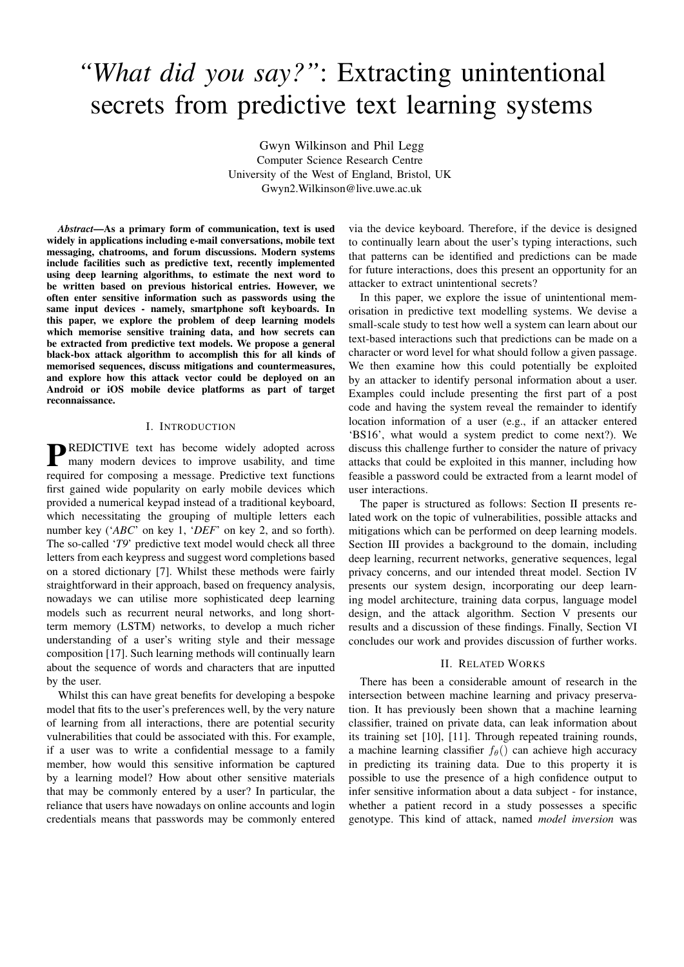# *"What did you say?"*: Extracting unintentional secrets from predictive text learning systems

Gwyn Wilkinson and Phil Legg Computer Science Research Centre University of the West of England, Bristol, UK Gwyn2.Wilkinson@live.uwe.ac.uk

*Abstract*—As a primary form of communication, text is used widely in applications including e-mail conversations, mobile text messaging, chatrooms, and forum discussions. Modern systems include facilities such as predictive text, recently implemented using deep learning algorithms, to estimate the next word to be written based on previous historical entries. However, we often enter sensitive information such as passwords using the same input devices - namely, smartphone soft keyboards. In this paper, we explore the problem of deep learning models which memorise sensitive training data, and how secrets can be extracted from predictive text models. We propose a general black-box attack algorithm to accomplish this for all kinds of memorised sequences, discuss mitigations and countermeasures, and explore how this attack vector could be deployed on an Android or iOS mobile device platforms as part of target reconnaissance.

# I. INTRODUCTION

**P**REDICTIVE text has become widely adopted across<br>many modern devices to improve usability, and time many modern devices to improve usability, and time required for composing a message. Predictive text functions first gained wide popularity on early mobile devices which provided a numerical keypad instead of a traditional keyboard, which necessitating the grouping of multiple letters each number key ('*ABC*' on key 1, '*DEF*' on key 2, and so forth). The so-called '*T9*' predictive text model would check all three letters from each keypress and suggest word completions based on a stored dictionary [7]. Whilst these methods were fairly straightforward in their approach, based on frequency analysis, nowadays we can utilise more sophisticated deep learning models such as recurrent neural networks, and long shortterm memory (LSTM) networks, to develop a much richer understanding of a user's writing style and their message composition [17]. Such learning methods will continually learn about the sequence of words and characters that are inputted by the user.

Whilst this can have great benefits for developing a bespoke model that fits to the user's preferences well, by the very nature of learning from all interactions, there are potential security vulnerabilities that could be associated with this. For example, if a user was to write a confidential message to a family member, how would this sensitive information be captured by a learning model? How about other sensitive materials that may be commonly entered by a user? In particular, the reliance that users have nowadays on online accounts and login credentials means that passwords may be commonly entered

via the device keyboard. Therefore, if the device is designed to continually learn about the user's typing interactions, such that patterns can be identified and predictions can be made for future interactions, does this present an opportunity for an attacker to extract unintentional secrets?

In this paper, we explore the issue of unintentional memorisation in predictive text modelling systems. We devise a small-scale study to test how well a system can learn about our text-based interactions such that predictions can be made on a character or word level for what should follow a given passage. We then examine how this could potentially be exploited by an attacker to identify personal information about a user. Examples could include presenting the first part of a post code and having the system reveal the remainder to identify location information of a user (e.g., if an attacker entered 'BS16', what would a system predict to come next?). We discuss this challenge further to consider the nature of privacy attacks that could be exploited in this manner, including how feasible a password could be extracted from a learnt model of user interactions.

The paper is structured as follows: Section II presents related work on the topic of vulnerabilities, possible attacks and mitigations which can be performed on deep learning models. Section III provides a background to the domain, including deep learning, recurrent networks, generative sequences, legal privacy concerns, and our intended threat model. Section IV presents our system design, incorporating our deep learning model architecture, training data corpus, language model design, and the attack algorithm. Section V presents our results and a discussion of these findings. Finally, Section VI concludes our work and provides discussion of further works.

#### II. RELATED WORKS

There has been a considerable amount of research in the intersection between machine learning and privacy preservation. It has previously been shown that a machine learning classifier, trained on private data, can leak information about its training set [10], [11]. Through repeated training rounds, a machine learning classifier  $f_{\theta}$ () can achieve high accuracy in predicting its training data. Due to this property it is possible to use the presence of a high confidence output to infer sensitive information about a data subject - for instance, whether a patient record in a study possesses a specific genotype. This kind of attack, named *model inversion* was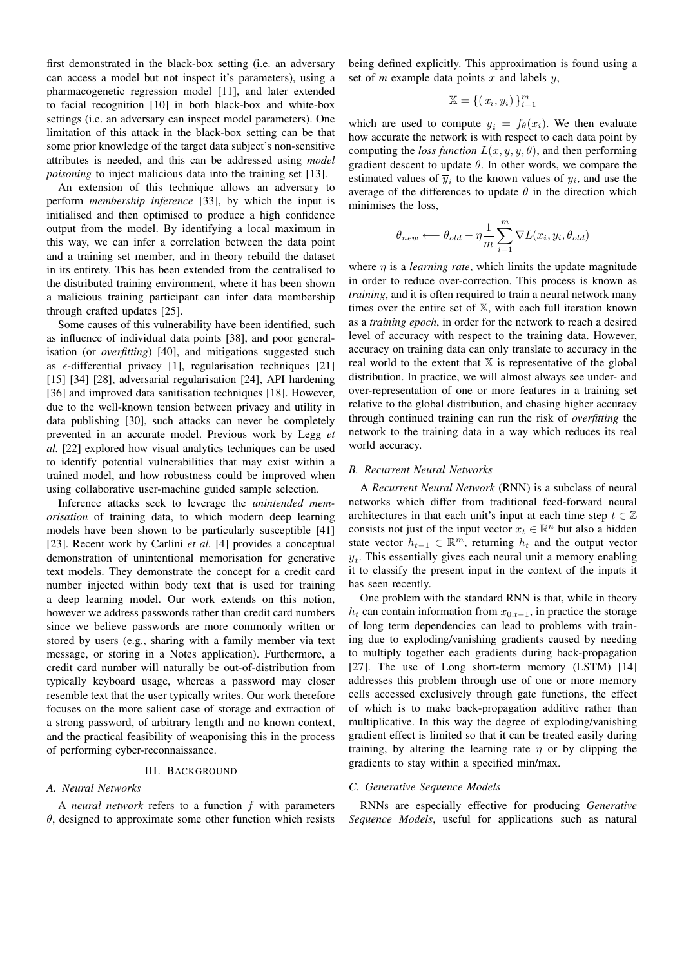first demonstrated in the black-box setting (i.e. an adversary can access a model but not inspect it's parameters), using a pharmacogenetic regression model [11], and later extended to facial recognition [10] in both black-box and white-box settings (i.e. an adversary can inspect model parameters). One limitation of this attack in the black-box setting can be that some prior knowledge of the target data subject's non-sensitive attributes is needed, and this can be addressed using *model poisoning* to inject malicious data into the training set [13].

An extension of this technique allows an adversary to perform *membership inference* [33], by which the input is initialised and then optimised to produce a high confidence output from the model. By identifying a local maximum in this way, we can infer a correlation between the data point and a training set member, and in theory rebuild the dataset in its entirety. This has been extended from the centralised to the distributed training environment, where it has been shown a malicious training participant can infer data membership through crafted updates [25].

Some causes of this vulnerability have been identified, such as influence of individual data points [38], and poor generalisation (or *overfitting*) [40], and mitigations suggested such as  $\epsilon$ -differential privacy [1], regularisation techniques [21] [15] [34] [28], adversarial regularisation [24], API hardening [36] and improved data sanitisation techniques [18]. However, due to the well-known tension between privacy and utility in data publishing [30], such attacks can never be completely prevented in an accurate model. Previous work by Legg *et al.* [22] explored how visual analytics techniques can be used to identify potential vulnerabilities that may exist within a trained model, and how robustness could be improved when using collaborative user-machine guided sample selection.

Inference attacks seek to leverage the *unintended memorisation* of training data, to which modern deep learning models have been shown to be particularly susceptible [41] [23]. Recent work by Carlini *et al.* [4] provides a conceptual demonstration of unintentional memorisation for generative text models. They demonstrate the concept for a credit card number injected within body text that is used for training a deep learning model. Our work extends on this notion, however we address passwords rather than credit card numbers since we believe passwords are more commonly written or stored by users (e.g., sharing with a family member via text message, or storing in a Notes application). Furthermore, a credit card number will naturally be out-of-distribution from typically keyboard usage, whereas a password may closer resemble text that the user typically writes. Our work therefore focuses on the more salient case of storage and extraction of a strong password, of arbitrary length and no known context, and the practical feasibility of weaponising this in the process of performing cyber-reconnaissance.

#### III. BACKGROUND

#### *A. Neural Networks*

A *neural network* refers to a function f with parameters  $\theta$ , designed to approximate some other function which resists

being defined explicitly. This approximation is found using a set of  $m$  example data points  $x$  and labels  $y$ ,

$$
\mathbb{X} = \{ (x_i, y_i) \}_{i=1}^m
$$

which are used to compute  $\overline{y}_i = f_\theta(x_i)$ . We then evaluate how accurate the network is with respect to each data point by computing the *loss function*  $L(x, y, \overline{y}, \theta)$ , and then performing gradient descent to update  $\theta$ . In other words, we compare the estimated values of  $\overline{y}_i$  to the known values of  $y_i$ , and use the average of the differences to update  $\theta$  in the direction which minimises the loss,

$$
\theta_{new} \longleftarrow \theta_{old} - \eta \frac{1}{m} \sum_{i=1}^{m} \nabla L(x_i, y_i, \theta_{old})
$$

where  $\eta$  is a *learning rate*, which limits the update magnitude in order to reduce over-correction. This process is known as *training*, and it is often required to train a neural network many times over the entire set of X, with each full iteration known as a *training epoch*, in order for the network to reach a desired level of accuracy with respect to the training data. However, accuracy on training data can only translate to accuracy in the real world to the extent that  $X$  is representative of the global distribution. In practice, we will almost always see under- and over-representation of one or more features in a training set relative to the global distribution, and chasing higher accuracy through continued training can run the risk of *overfitting* the network to the training data in a way which reduces its real world accuracy.

#### *B. Recurrent Neural Networks*

A *Recurrent Neural Network* (RNN) is a subclass of neural networks which differ from traditional feed-forward neural architectures in that each unit's input at each time step  $t \in \mathbb{Z}$ consists not just of the input vector  $x_t \in \mathbb{R}^n$  but also a hidden state vector  $h_{t-1} \in \mathbb{R}^m$ , returning  $h_t$  and the output vector  $\overline{y}_t$ . This essentially gives each neural unit a memory enabling it to classify the present input in the context of the inputs it has seen recently.

One problem with the standard RNN is that, while in theory  $h_t$  can contain information from  $x_{0:t-1}$ , in practice the storage of long term dependencies can lead to problems with training due to exploding/vanishing gradients caused by needing to multiply together each gradients during back-propagation [27]. The use of Long short-term memory (LSTM) [14] addresses this problem through use of one or more memory cells accessed exclusively through gate functions, the effect of which is to make back-propagation additive rather than multiplicative. In this way the degree of exploding/vanishing gradient effect is limited so that it can be treated easily during training, by altering the learning rate  $\eta$  or by clipping the gradients to stay within a specified min/max.

# *C. Generative Sequence Models*

RNNs are especially effective for producing *Generative Sequence Models*, useful for applications such as natural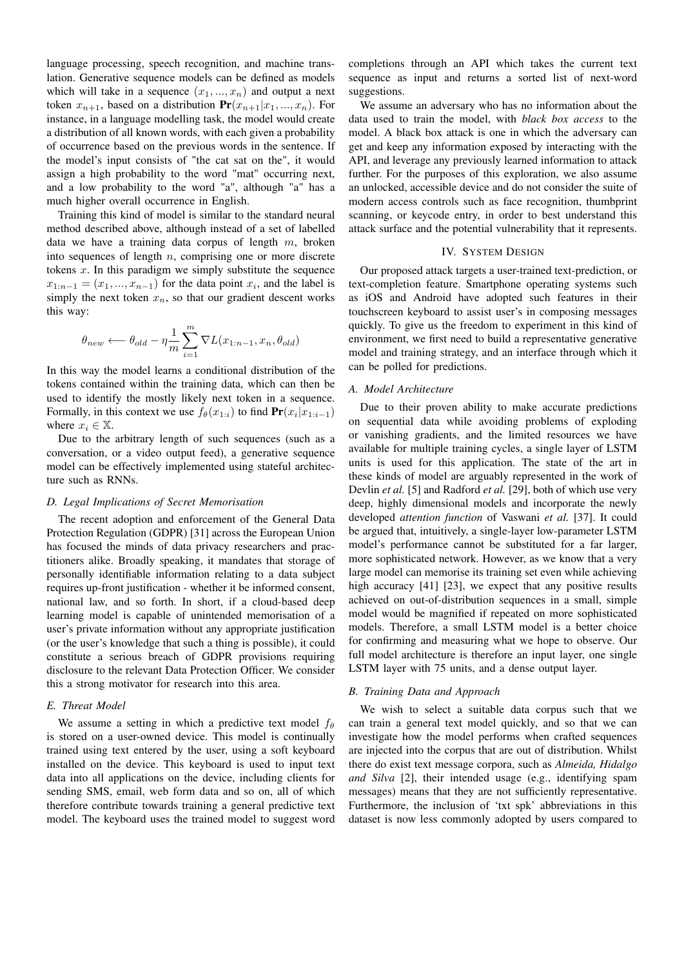language processing, speech recognition, and machine translation. Generative sequence models can be defined as models which will take in a sequence  $(x_1, ..., x_n)$  and output a next token  $x_{n+1}$ , based on a distribution  $Pr(x_{n+1}|x_1, ..., x_n)$ . For instance, in a language modelling task, the model would create a distribution of all known words, with each given a probability of occurrence based on the previous words in the sentence. If the model's input consists of "the cat sat on the", it would assign a high probability to the word "mat" occurring next, and a low probability to the word "a", although "a" has a much higher overall occurrence in English.

Training this kind of model is similar to the standard neural method described above, although instead of a set of labelled data we have a training data corpus of length  $m$ , broken into sequences of length  $n$ , comprising one or more discrete tokens  $x$ . In this paradigm we simply substitute the sequence  $x_{1:n-1} = (x_1, ..., x_{n-1})$  for the data point  $x_i$ , and the label is simply the next token  $x_n$ , so that our gradient descent works this way:

$$
\theta_{new} \longleftarrow \theta_{old} - \eta \frac{1}{m} \sum_{i=1}^{m} \nabla L(x_{1:n-1}, x_n, \theta_{old})
$$

In this way the model learns a conditional distribution of the tokens contained within the training data, which can then be used to identify the mostly likely next token in a sequence. Formally, in this context we use  $f_{\theta}(x_{1:i})$  to find  $Pr(x_i | x_{1:i-1})$ where  $x_i \in \mathbb{X}$ .

Due to the arbitrary length of such sequences (such as a conversation, or a video output feed), a generative sequence model can be effectively implemented using stateful architecture such as RNNs.

#### *D. Legal Implications of Secret Memorisation*

The recent adoption and enforcement of the General Data Protection Regulation (GDPR) [31] across the European Union has focused the minds of data privacy researchers and practitioners alike. Broadly speaking, it mandates that storage of personally identifiable information relating to a data subject requires up-front justification - whether it be informed consent, national law, and so forth. In short, if a cloud-based deep learning model is capable of unintended memorisation of a user's private information without any appropriate justification (or the user's knowledge that such a thing is possible), it could constitute a serious breach of GDPR provisions requiring disclosure to the relevant Data Protection Officer. We consider this a strong motivator for research into this area.

# *E. Threat Model*

We assume a setting in which a predictive text model  $f_{\theta}$ is stored on a user-owned device. This model is continually trained using text entered by the user, using a soft keyboard installed on the device. This keyboard is used to input text data into all applications on the device, including clients for sending SMS, email, web form data and so on, all of which therefore contribute towards training a general predictive text model. The keyboard uses the trained model to suggest word

completions through an API which takes the current text sequence as input and returns a sorted list of next-word suggestions.

We assume an adversary who has no information about the data used to train the model, with *black box access* to the model. A black box attack is one in which the adversary can get and keep any information exposed by interacting with the API, and leverage any previously learned information to attack further. For the purposes of this exploration, we also assume an unlocked, accessible device and do not consider the suite of modern access controls such as face recognition, thumbprint scanning, or keycode entry, in order to best understand this attack surface and the potential vulnerability that it represents.

#### IV. SYSTEM DESIGN

Our proposed attack targets a user-trained text-prediction, or text-completion feature. Smartphone operating systems such as iOS and Android have adopted such features in their touchscreen keyboard to assist user's in composing messages quickly. To give us the freedom to experiment in this kind of environment, we first need to build a representative generative model and training strategy, and an interface through which it can be polled for predictions.

#### *A. Model Architecture*

Due to their proven ability to make accurate predictions on sequential data while avoiding problems of exploding or vanishing gradients, and the limited resources we have available for multiple training cycles, a single layer of LSTM units is used for this application. The state of the art in these kinds of model are arguably represented in the work of Devlin *et al.* [5] and Radford *et al.* [29], both of which use very deep, highly dimensional models and incorporate the newly developed *attention function* of Vaswani *et al.* [37]. It could be argued that, intuitively, a single-layer low-parameter LSTM model's performance cannot be substituted for a far larger, more sophisticated network. However, as we know that a very large model can memorise its training set even while achieving high accuracy [41] [23], we expect that any positive results achieved on out-of-distribution sequences in a small, simple model would be magnified if repeated on more sophisticated models. Therefore, a small LSTM model is a better choice for confirming and measuring what we hope to observe. Our full model architecture is therefore an input layer, one single LSTM layer with 75 units, and a dense output layer.

#### *B. Training Data and Approach*

We wish to select a suitable data corpus such that we can train a general text model quickly, and so that we can investigate how the model performs when crafted sequences are injected into the corpus that are out of distribution. Whilst there do exist text message corpora, such as *Almeida, Hidalgo and Silva* [2], their intended usage (e.g., identifying spam messages) means that they are not sufficiently representative. Furthermore, the inclusion of 'txt spk' abbreviations in this dataset is now less commonly adopted by users compared to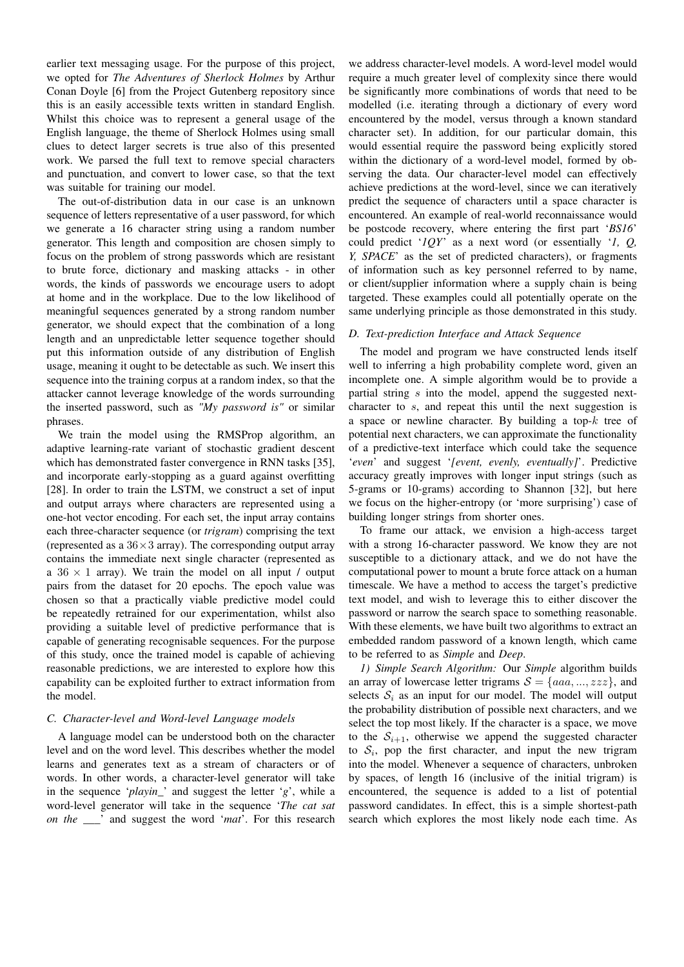earlier text messaging usage. For the purpose of this project, we opted for *The Adventures of Sherlock Holmes* by Arthur Conan Doyle [6] from the Project Gutenberg repository since this is an easily accessible texts written in standard English. Whilst this choice was to represent a general usage of the English language, the theme of Sherlock Holmes using small clues to detect larger secrets is true also of this presented work. We parsed the full text to remove special characters and punctuation, and convert to lower case, so that the text was suitable for training our model.

The out-of-distribution data in our case is an unknown sequence of letters representative of a user password, for which we generate a 16 character string using a random number generator. This length and composition are chosen simply to focus on the problem of strong passwords which are resistant to brute force, dictionary and masking attacks - in other words, the kinds of passwords we encourage users to adopt at home and in the workplace. Due to the low likelihood of meaningful sequences generated by a strong random number generator, we should expect that the combination of a long length and an unpredictable letter sequence together should put this information outside of any distribution of English usage, meaning it ought to be detectable as such. We insert this sequence into the training corpus at a random index, so that the attacker cannot leverage knowledge of the words surrounding the inserted password, such as *"My password is"* or similar phrases.

We train the model using the RMSProp algorithm, an adaptive learning-rate variant of stochastic gradient descent which has demonstrated faster convergence in RNN tasks [35], and incorporate early-stopping as a guard against overfitting [28]. In order to train the LSTM, we construct a set of input and output arrays where characters are represented using a one-hot vector encoding. For each set, the input array contains each three-character sequence (or *trigram*) comprising the text (represented as a  $36 \times 3$  array). The corresponding output array contains the immediate next single character (represented as a  $36 \times 1$  array). We train the model on all input / output pairs from the dataset for 20 epochs. The epoch value was chosen so that a practically viable predictive model could be repeatedly retrained for our experimentation, whilst also providing a suitable level of predictive performance that is capable of generating recognisable sequences. For the purpose of this study, once the trained model is capable of achieving reasonable predictions, we are interested to explore how this capability can be exploited further to extract information from the model.

#### *C. Character-level and Word-level Language models*

A language model can be understood both on the character level and on the word level. This describes whether the model learns and generates text as a stream of characters or of words. In other words, a character-level generator will take in the sequence '*playin\_*' and suggest the letter '*g*', while a word-level generator will take in the sequence '*The cat sat on the \_\_\_*' and suggest the word '*mat*'. For this research

we address character-level models. A word-level model would require a much greater level of complexity since there would be significantly more combinations of words that need to be modelled (i.e. iterating through a dictionary of every word encountered by the model, versus through a known standard character set). In addition, for our particular domain, this would essential require the password being explicitly stored within the dictionary of a word-level model, formed by observing the data. Our character-level model can effectively achieve predictions at the word-level, since we can iteratively predict the sequence of characters until a space character is encountered. An example of real-world reconnaissance would be postcode recovery, where entering the first part '*BS16*' could predict '*1QY*' as a next word (or essentially '*1, Q, Y, SPACE*' as the set of predicted characters), or fragments of information such as key personnel referred to by name, or client/supplier information where a supply chain is being targeted. These examples could all potentially operate on the same underlying principle as those demonstrated in this study.

### *D. Text-prediction Interface and Attack Sequence*

The model and program we have constructed lends itself well to inferring a high probability complete word, given an incomplete one. A simple algorithm would be to provide a partial string s into the model, append the suggested nextcharacter to s, and repeat this until the next suggestion is a space or newline character. By building a top- $k$  tree of potential next characters, we can approximate the functionality of a predictive-text interface which could take the sequence '*even*' and suggest '*[event, evenly, eventually]*'. Predictive accuracy greatly improves with longer input strings (such as 5-grams or 10-grams) according to Shannon [32], but here we focus on the higher-entropy (or 'more surprising') case of building longer strings from shorter ones.

To frame our attack, we envision a high-access target with a strong 16-character password. We know they are not susceptible to a dictionary attack, and we do not have the computational power to mount a brute force attack on a human timescale. We have a method to access the target's predictive text model, and wish to leverage this to either discover the password or narrow the search space to something reasonable. With these elements, we have built two algorithms to extract an embedded random password of a known length, which came to be referred to as *Simple* and *Deep*.

*1) Simple Search Algorithm:* Our *Simple* algorithm builds an array of lowercase letter trigrams  $S = \{aaa, ..., zzz\}$ , and selects  $S_i$  as an input for our model. The model will output the probability distribution of possible next characters, and we select the top most likely. If the character is a space, we move to the  $S_{i+1}$ , otherwise we append the suggested character to  $S_i$ , pop the first character, and input the new trigram into the model. Whenever a sequence of characters, unbroken by spaces, of length 16 (inclusive of the initial trigram) is encountered, the sequence is added to a list of potential password candidates. In effect, this is a simple shortest-path search which explores the most likely node each time. As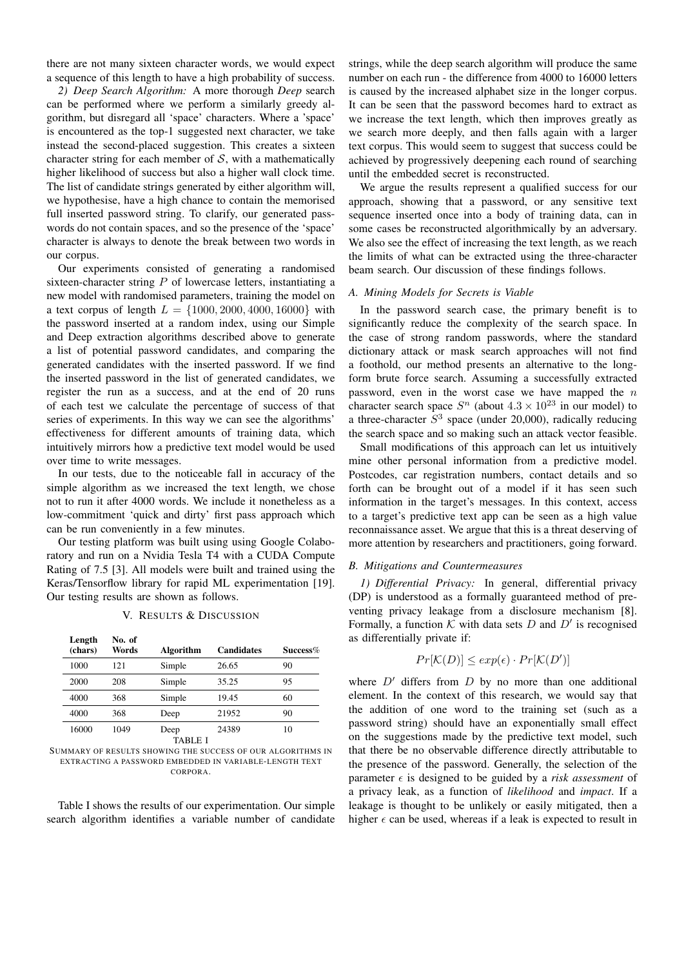there are not many sixteen character words, we would expect a sequence of this length to have a high probability of success.

*2) Deep Search Algorithm:* A more thorough *Deep* search can be performed where we perform a similarly greedy algorithm, but disregard all 'space' characters. Where a 'space' is encountered as the top-1 suggested next character, we take instead the second-placed suggestion. This creates a sixteen character string for each member of  $S$ , with a mathematically higher likelihood of success but also a higher wall clock time. The list of candidate strings generated by either algorithm will, we hypothesise, have a high chance to contain the memorised full inserted password string. To clarify, our generated passwords do not contain spaces, and so the presence of the 'space' character is always to denote the break between two words in our corpus.

Our experiments consisted of generating a randomised sixteen-character string  $P$  of lowercase letters, instantiating a new model with randomised parameters, training the model on a text corpus of length  $L = \{1000, 2000, 4000, 16000\}$  with the password inserted at a random index, using our Simple and Deep extraction algorithms described above to generate a list of potential password candidates, and comparing the generated candidates with the inserted password. If we find the inserted password in the list of generated candidates, we register the run as a success, and at the end of 20 runs of each test we calculate the percentage of success of that series of experiments. In this way we can see the algorithms' effectiveness for different amounts of training data, which intuitively mirrors how a predictive text model would be used over time to write messages.

In our tests, due to the noticeable fall in accuracy of the simple algorithm as we increased the text length, we chose not to run it after 4000 words. We include it nonetheless as a low-commitment 'quick and dirty' first pass approach which can be run conveniently in a few minutes.

Our testing platform was built using using Google Colaboratory and run on a Nvidia Tesla T4 with a CUDA Compute Rating of 7.5 [3]. All models were built and trained using the Keras/Tensorflow library for rapid ML experimentation [19]. Our testing results are shown as follows.

V. RESULTS & DISCUSSION

| Length<br>(chars) | No. of<br>Words | Algorithm              | <b>Candidates</b> | Success% |
|-------------------|-----------------|------------------------|-------------------|----------|
| 1000              | 121             | Simple                 | 26.65             | 90       |
| 2000              | 208             | Simple                 | 35.25             | 95       |
| 4000              | 368             | Simple                 | 19.45             | 60       |
| 4000              | 368             | Deep                   | 21952             | 90       |
| 16000             | 1049            | Deep<br><b>TABLE I</b> | 24389             | 10       |

SUMMARY OF RESULTS SHOWING THE SUCCESS OF OUR ALGORITHMS IN EXTRACTING A PASSWORD EMBEDDED IN VARIABLE-LENGTH TEXT CORPORA.

Table I shows the results of our experimentation. Our simple search algorithm identifies a variable number of candidate

strings, while the deep search algorithm will produce the same number on each run - the difference from 4000 to 16000 letters is caused by the increased alphabet size in the longer corpus. It can be seen that the password becomes hard to extract as we increase the text length, which then improves greatly as we search more deeply, and then falls again with a larger text corpus. This would seem to suggest that success could be achieved by progressively deepening each round of searching until the embedded secret is reconstructed.

We argue the results represent a qualified success for our approach, showing that a password, or any sensitive text sequence inserted once into a body of training data, can in some cases be reconstructed algorithmically by an adversary. We also see the effect of increasing the text length, as we reach the limits of what can be extracted using the three-character beam search. Our discussion of these findings follows.

#### *A. Mining Models for Secrets is Viable*

In the password search case, the primary benefit is to significantly reduce the complexity of the search space. In the case of strong random passwords, where the standard dictionary attack or mask search approaches will not find a foothold, our method presents an alternative to the longform brute force search. Assuming a successfully extracted password, even in the worst case we have mapped the  $n$ character search space  $S<sup>n</sup>$  (about  $4.3 \times 10^{23}$  in our model) to a three-character  $S^3$  space (under 20,000), radically reducing the search space and so making such an attack vector feasible.

Small modifications of this approach can let us intuitively mine other personal information from a predictive model. Postcodes, car registration numbers, contact details and so forth can be brought out of a model if it has seen such information in the target's messages. In this context, access to a target's predictive text app can be seen as a high value reconnaissance asset. We argue that this is a threat deserving of more attention by researchers and practitioners, going forward.

#### *B. Mitigations and Countermeasures*

*1) Differential Privacy:* In general, differential privacy (DP) is understood as a formally guaranteed method of preventing privacy leakage from a disclosure mechanism [8]. Formally, a function  $K$  with data sets  $D$  and  $D'$  is recognised as differentially private if:

$$
Pr[\mathcal{K}(D)] \le exp(\epsilon) \cdot Pr[\mathcal{K}(D')]
$$

where  $D'$  differs from  $D$  by no more than one additional element. In the context of this research, we would say that the addition of one word to the training set (such as a password string) should have an exponentially small effect on the suggestions made by the predictive text model, such that there be no observable difference directly attributable to the presence of the password. Generally, the selection of the parameter  $\epsilon$  is designed to be guided by a *risk assessment* of a privacy leak, as a function of *likelihood* and *impact*. If a leakage is thought to be unlikely or easily mitigated, then a higher  $\epsilon$  can be used, whereas if a leak is expected to result in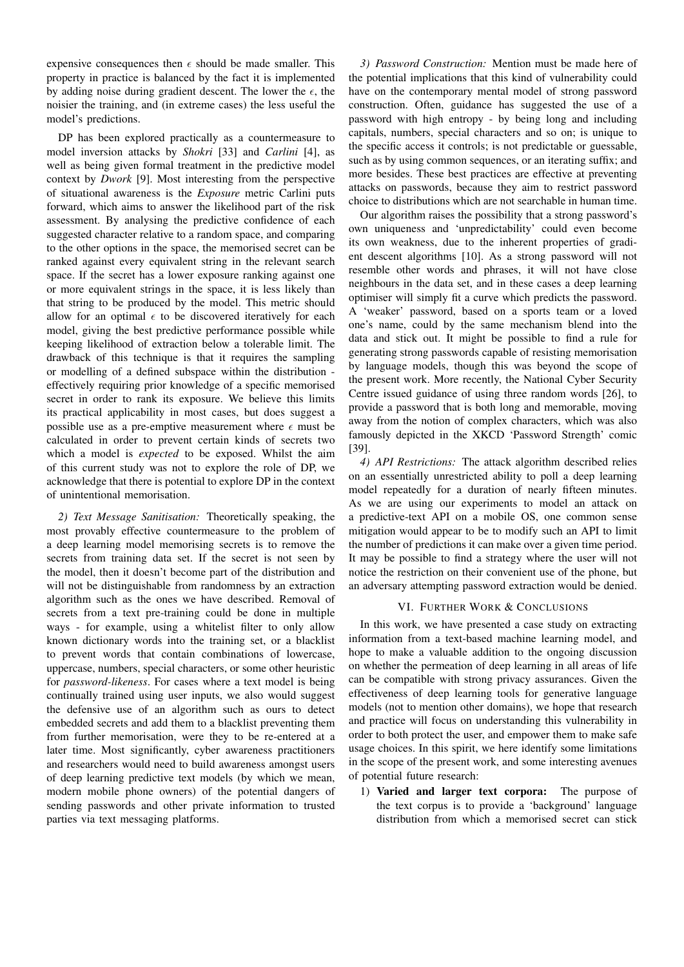expensive consequences then  $\epsilon$  should be made smaller. This property in practice is balanced by the fact it is implemented by adding noise during gradient descent. The lower the  $\epsilon$ , the noisier the training, and (in extreme cases) the less useful the model's predictions.

DP has been explored practically as a countermeasure to model inversion attacks by *Shokri* [33] and *Carlini* [4], as well as being given formal treatment in the predictive model context by *Dwork* [9]. Most interesting from the perspective of situational awareness is the *Exposure* metric Carlini puts forward, which aims to answer the likelihood part of the risk assessment. By analysing the predictive confidence of each suggested character relative to a random space, and comparing to the other options in the space, the memorised secret can be ranked against every equivalent string in the relevant search space. If the secret has a lower exposure ranking against one or more equivalent strings in the space, it is less likely than that string to be produced by the model. This metric should allow for an optimal  $\epsilon$  to be discovered iteratively for each model, giving the best predictive performance possible while keeping likelihood of extraction below a tolerable limit. The drawback of this technique is that it requires the sampling or modelling of a defined subspace within the distribution effectively requiring prior knowledge of a specific memorised secret in order to rank its exposure. We believe this limits its practical applicability in most cases, but does suggest a possible use as a pre-emptive measurement where  $\epsilon$  must be calculated in order to prevent certain kinds of secrets two which a model is *expected* to be exposed. Whilst the aim of this current study was not to explore the role of DP, we acknowledge that there is potential to explore DP in the context of unintentional memorisation.

*2) Text Message Sanitisation:* Theoretically speaking, the most provably effective countermeasure to the problem of a deep learning model memorising secrets is to remove the secrets from training data set. If the secret is not seen by the model, then it doesn't become part of the distribution and will not be distinguishable from randomness by an extraction algorithm such as the ones we have described. Removal of secrets from a text pre-training could be done in multiple ways - for example, using a whitelist filter to only allow known dictionary words into the training set, or a blacklist to prevent words that contain combinations of lowercase, uppercase, numbers, special characters, or some other heuristic for *password-likeness*. For cases where a text model is being continually trained using user inputs, we also would suggest the defensive use of an algorithm such as ours to detect embedded secrets and add them to a blacklist preventing them from further memorisation, were they to be re-entered at a later time. Most significantly, cyber awareness practitioners and researchers would need to build awareness amongst users of deep learning predictive text models (by which we mean, modern mobile phone owners) of the potential dangers of sending passwords and other private information to trusted parties via text messaging platforms.

*3) Password Construction:* Mention must be made here of the potential implications that this kind of vulnerability could have on the contemporary mental model of strong password construction. Often, guidance has suggested the use of a password with high entropy - by being long and including capitals, numbers, special characters and so on; is unique to the specific access it controls; is not predictable or guessable, such as by using common sequences, or an iterating suffix; and more besides. These best practices are effective at preventing attacks on passwords, because they aim to restrict password choice to distributions which are not searchable in human time.

Our algorithm raises the possibility that a strong password's own uniqueness and 'unpredictability' could even become its own weakness, due to the inherent properties of gradient descent algorithms [10]. As a strong password will not resemble other words and phrases, it will not have close neighbours in the data set, and in these cases a deep learning optimiser will simply fit a curve which predicts the password. A 'weaker' password, based on a sports team or a loved one's name, could by the same mechanism blend into the data and stick out. It might be possible to find a rule for generating strong passwords capable of resisting memorisation by language models, though this was beyond the scope of the present work. More recently, the National Cyber Security Centre issued guidance of using three random words [26], to provide a password that is both long and memorable, moving away from the notion of complex characters, which was also famously depicted in the XKCD 'Password Strength' comic [39].

*4) API Restrictions:* The attack algorithm described relies on an essentially unrestricted ability to poll a deep learning model repeatedly for a duration of nearly fifteen minutes. As we are using our experiments to model an attack on a predictive-text API on a mobile OS, one common sense mitigation would appear to be to modify such an API to limit the number of predictions it can make over a given time period. It may be possible to find a strategy where the user will not notice the restriction on their convenient use of the phone, but an adversary attempting password extraction would be denied.

#### VI. FURTHER WORK & CONCLUSIONS

In this work, we have presented a case study on extracting information from a text-based machine learning model, and hope to make a valuable addition to the ongoing discussion on whether the permeation of deep learning in all areas of life can be compatible with strong privacy assurances. Given the effectiveness of deep learning tools for generative language models (not to mention other domains), we hope that research and practice will focus on understanding this vulnerability in order to both protect the user, and empower them to make safe usage choices. In this spirit, we here identify some limitations in the scope of the present work, and some interesting avenues of potential future research:

1) Varied and larger text corpora: The purpose of the text corpus is to provide a 'background' language distribution from which a memorised secret can stick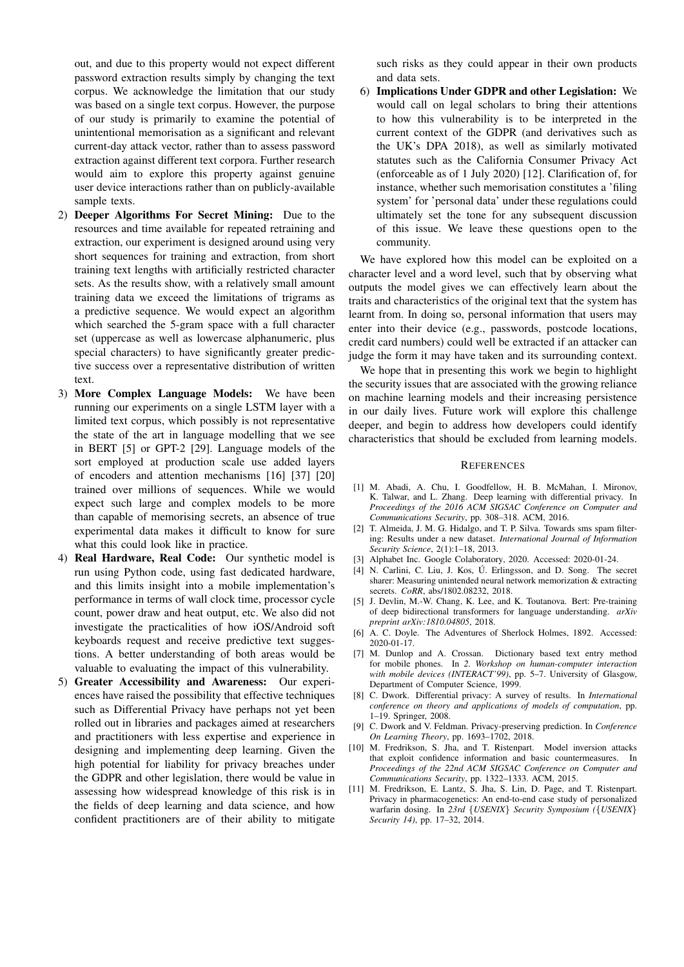out, and due to this property would not expect different password extraction results simply by changing the text corpus. We acknowledge the limitation that our study was based on a single text corpus. However, the purpose of our study is primarily to examine the potential of unintentional memorisation as a significant and relevant current-day attack vector, rather than to assess password extraction against different text corpora. Further research would aim to explore this property against genuine user device interactions rather than on publicly-available sample texts.

- 2) Deeper Algorithms For Secret Mining: Due to the resources and time available for repeated retraining and extraction, our experiment is designed around using very short sequences for training and extraction, from short training text lengths with artificially restricted character sets. As the results show, with a relatively small amount training data we exceed the limitations of trigrams as a predictive sequence. We would expect an algorithm which searched the 5-gram space with a full character set (uppercase as well as lowercase alphanumeric, plus special characters) to have significantly greater predictive success over a representative distribution of written text.
- 3) More Complex Language Models: We have been running our experiments on a single LSTM layer with a limited text corpus, which possibly is not representative the state of the art in language modelling that we see in BERT [5] or GPT-2 [29]. Language models of the sort employed at production scale use added layers of encoders and attention mechanisms [16] [37] [20] trained over millions of sequences. While we would expect such large and complex models to be more than capable of memorising secrets, an absence of true experimental data makes it difficult to know for sure what this could look like in practice.
- 4) Real Hardware, Real Code: Our synthetic model is run using Python code, using fast dedicated hardware, and this limits insight into a mobile implementation's performance in terms of wall clock time, processor cycle count, power draw and heat output, etc. We also did not investigate the practicalities of how iOS/Android soft keyboards request and receive predictive text suggestions. A better understanding of both areas would be valuable to evaluating the impact of this vulnerability.
- 5) Greater Accessibility and Awareness: Our experiences have raised the possibility that effective techniques such as Differential Privacy have perhaps not yet been rolled out in libraries and packages aimed at researchers and practitioners with less expertise and experience in designing and implementing deep learning. Given the high potential for liability for privacy breaches under the GDPR and other legislation, there would be value in assessing how widespread knowledge of this risk is in the fields of deep learning and data science, and how confident practitioners are of their ability to mitigate

such risks as they could appear in their own products and data sets.

6) Implications Under GDPR and other Legislation: We would call on legal scholars to bring their attentions to how this vulnerability is to be interpreted in the current context of the GDPR (and derivatives such as the UK's DPA 2018), as well as similarly motivated statutes such as the California Consumer Privacy Act (enforceable as of 1 July 2020) [12]. Clarification of, for instance, whether such memorisation constitutes a 'filing system' for 'personal data' under these regulations could ultimately set the tone for any subsequent discussion of this issue. We leave these questions open to the community.

We have explored how this model can be exploited on a character level and a word level, such that by observing what outputs the model gives we can effectively learn about the traits and characteristics of the original text that the system has learnt from. In doing so, personal information that users may enter into their device (e.g., passwords, postcode locations, credit card numbers) could well be extracted if an attacker can judge the form it may have taken and its surrounding context.

We hope that in presenting this work we begin to highlight the security issues that are associated with the growing reliance on machine learning models and their increasing persistence in our daily lives. Future work will explore this challenge deeper, and begin to address how developers could identify characteristics that should be excluded from learning models.

#### **REFERENCES**

- [1] M. Abadi, A. Chu, I. Goodfellow, H. B. McMahan, I. Mironov, K. Talwar, and L. Zhang. Deep learning with differential privacy. In *Proceedings of the 2016 ACM SIGSAC Conference on Computer and Communications Security*, pp. 308–318. ACM, 2016.
- [2] T. Almeida, J. M. G. Hidalgo, and T. P. Silva. Towards sms spam filtering: Results under a new dataset. *International Journal of Information Security Science*, 2(1):1–18, 2013.
- [3] Alphabet Inc. Google Colaboratory, 2020. Accessed: 2020-01-24.
- [4] N. Carlini, C. Liu, J. Kos, Ú. Erlingsson, and D. Song. The secret sharer: Measuring unintended neural network memorization & extracting secrets. *CoRR*, abs/1802.08232, 2018.
- [5] J. Devlin, M.-W. Chang, K. Lee, and K. Toutanova. Bert: Pre-training of deep bidirectional transformers for language understanding. *arXiv preprint arXiv:1810.04805*, 2018.
- [6] A. C. Doyle. The Adventures of Sherlock Holmes, 1892. Accessed: 2020-01-17.
- [7] M. Dunlop and A. Crossan. Dictionary based text entry method for mobile phones. In *2. Workshop on human-computer interaction with mobile devices (INTERACT'99)*, pp. 5–7. University of Glasgow, Department of Computer Science, 1999.
- [8] C. Dwork. Differential privacy: A survey of results. In *International conference on theory and applications of models of computation*, pp. 1–19. Springer, 2008.
- [9] C. Dwork and V. Feldman. Privacy-preserving prediction. In *Conference On Learning Theory*, pp. 1693–1702, 2018.
- [10] M. Fredrikson, S. Jha, and T. Ristenpart. Model inversion attacks that exploit confidence information and basic countermeasures. In *Proceedings of the 22nd ACM SIGSAC Conference on Computer and Communications Security*, pp. 1322–1333. ACM, 2015.
- [11] M. Fredrikson, E. Lantz, S. Jha, S. Lin, D. Page, and T. Ristenpart. Privacy in pharmacogenetics: An end-to-end case study of personalized warfarin dosing. In *23rd* {*USENIX*} *Security Symposium (*{*USENIX*} *Security 14)*, pp. 17–32, 2014.